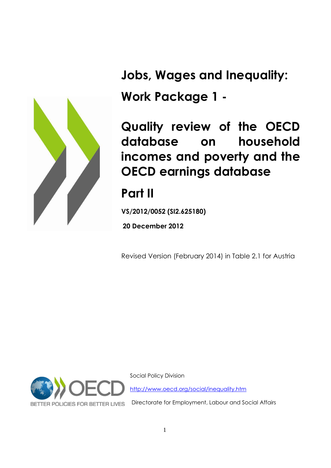

**Jobs, Wages and Inequality: Work Package 1 -**

**Quality review of the OECD database on household incomes and poverty and the OECD earnings database**

# **Part II**

**VS/2012/0052 (SI2.625180)**

**20 December 2012**

Revised Version (February 2014) in Table 2.1 for Austria



Social Policy Division <http://www.oecd.org/social/inequality.htm>

Directorate for Employment, Labour and Social Affairs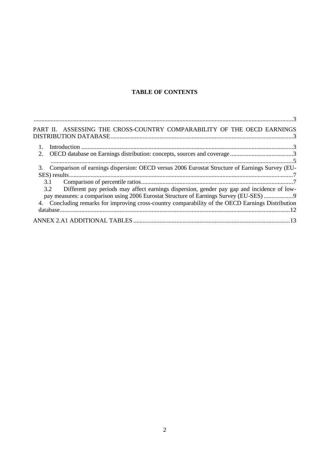# **TABLE OF CONTENTS**

| PART II. ASSESSING THE CROSS-COUNTRY COMPARABILITY OF THE OECD EARNINGS                              |
|------------------------------------------------------------------------------------------------------|
| $\overline{1}$ .                                                                                     |
| 2.                                                                                                   |
|                                                                                                      |
| Comparison of earnings dispersion: OECD versus 2006 Eurostat Structure of Earnings Survey (EU-<br>3. |
|                                                                                                      |
| 3.1                                                                                                  |
| 3.2 Different pay periods may affect earnings dispersion, gender pay gap and incidence of low-       |
| pay measures: a comparison using 2006 Eurostat Structure of Earnings Survey (EU-SES)                 |
| 4. Concluding remarks for improving cross-country comparability of the OECD Earnings Distribution    |
|                                                                                                      |
|                                                                                                      |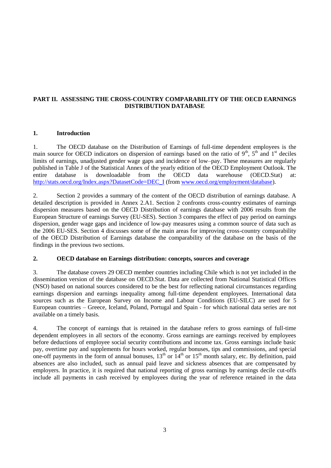### **PART II. ASSESSING THE CROSS-COUNTRY COMPARABILITY OF THE OECD EARNINGS DISTRIBUTION DATABASE**

#### **1. Introduction**

1. The OECD database on the Distribution of Earnings of full-time dependent employees is the main source for OECD indicators on dispersion of earnings based on the ratio of  $9<sup>th</sup>$ ,  $5<sup>th</sup>$  and  $1<sup>st</sup>$  deciles limits of earnings, unadjusted gender wage gaps and incidence of low–pay. These measures are regularly published in Table J of the Statistical Annex of the yearly edition of the OECD Employment Outlook. The entire database is downloadable from the OECD data warehouse (OECD.Stat) at: [http://stats.oecd.org/Index.aspx?DatasetCode=DEC\\_I](http://stats.oecd.org/Index.aspx?DatasetCode=DEC_I) (from [www.oecd.org/employment/database\)](http://www.oecd.org/employment/database).

2. Section 2 provides a summary of the content of the OECD distribution of earnings database. A detailed description is provided in Annex 2.A1. Section 2 confronts cross-country estimates of earnings dispersion measures based on the OECD Distribution of earnings database with 2006 results from the European Structure of earnings Survey (EU-SES). Section 3 compares the effect of pay period on earnings dispersion, gender wage gaps and incidence of low-pay measures using a common source of data such as the 2006 EU-SES. Section 4 discusses some of the main areas for improving cross-country comparability of the OECD Distribution of Earnings database the comparability of the database on the basis of the findings in the previous two sections.

#### **2. OECD database on Earnings distribution: concepts, sources and coverage**

3. The database covers 29 OECD member countries including Chile which is not yet included in the dissemination version of the database on OECD.Stat. Data are collected from National Statistical Offices (NSO) based on national sources considered to be the best for reflecting national circumstances regarding earnings dispersion and earnings inequality among full-time dependent employees. International data sources such as the European Survey on Income and Labour Conditions (EU-SILC) are used for 5 European countries – Greece, Iceland, Poland, Portugal and Spain - for which national data series are not available on a timely basis.

4. The concept of earnings that is retained in the database refers to gross earnings of full-time dependent employees in all sectors of the economy. Gross earnings are earnings received by employees before deductions of employee social security contributions and income tax. Gross earnings include basic pay, overtime pay and supplements for hours worked, regular bonuses, tips and commissions, and special one-off payments in the form of annual bonuses,  $13^{th}$  or  $14^{th}$  or  $15^{th}$  month salary, etc. By definition, paid absences are also included, such as annual paid leave and sickness absences that are compensated by employers. In practice, it is required that national reporting of gross earnings by earnings decile cut-offs include all payments in cash received by employees during the year of reference retained in the data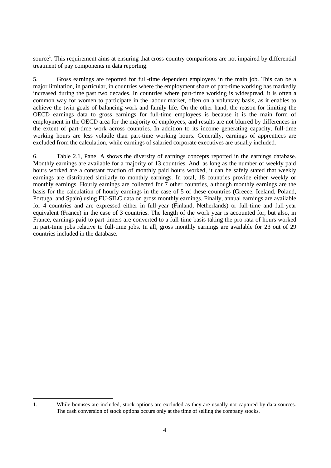source<sup>1</sup>. This requirement aims at ensuring that cross-country comparisons are not impaired by differential treatment of pay components in data reporting.

5. Gross earnings are reported for full-time dependent employees in the main job. This can be a major limitation, in particular, in countries where the employment share of part-time working has markedly increased during the past two decades. In countries where part-time working is widespread, it is often a common way for women to participate in the labour market, often on a voluntary basis, as it enables to achieve the twin goals of balancing work and family life. On the other hand, the reason for limiting the OECD earnings data to gross earnings for full-time employees is because it is the main form of employment in the OECD area for the majority of employees, and results are not blurred by differences in the extent of part-time work across countries. In addition to its income generating capacity, full-time working hours are less volatile than part-time working hours. Generally, earnings of apprentices are excluded from the calculation, while earnings of salaried corporate executives are usually included.

6. Table 2.1, Panel A shows the diversity of earnings concepts reported in the earnings database. Monthly earnings are available for a majority of 13 countries. And, as long as the number of weekly paid hours worked are a constant fraction of monthly paid hours worked, it can be safely stated that weekly earnings are distributed similarly to monthly earnings. In total, 18 countries provide either weekly or monthly earnings. Hourly earnings are collected for 7 other countries, although monthly earnings are the basis for the calculation of hourly earnings in the case of 5 of these countries (Greece, Iceland, Poland, Portugal and Spain) using EU-SILC data on gross monthly earnings. Finally, annual earnings are available for 4 countries and are expressed either in full-year (Finland, Netherlands) or full-time and full-year equivalent (France) in the case of 3 countries. The length of the work year is accounted for, but also, in France, earnings paid to part-timers are converted to a full-time basis taking the pro-rata of hours worked in part-time jobs relative to full-time jobs. In all, gross monthly earnings are available for 23 out of 29 countries included in the database.

 1. While bonuses are included, stock options are excluded as they are usually not captured by data sources. The cash conversion of stock options occurs only at the time of selling the company stocks.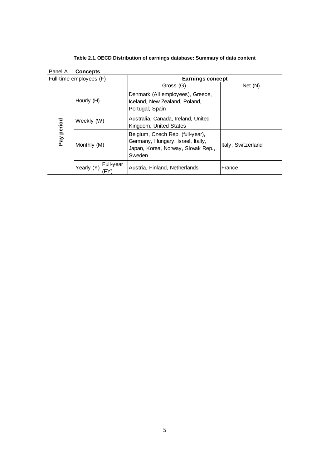|            | Panel A. Concepts       |                                                                                                                       |                    |
|------------|-------------------------|-----------------------------------------------------------------------------------------------------------------------|--------------------|
|            | Full-time employees (F) | Earnings concept                                                                                                      |                    |
|            |                         | Gross (G)                                                                                                             | Net (N)            |
|            | Hourly (H)              | Denmark (All employees), Greece,<br>Iceland, New Zealand, Poland,<br>Portugal, Spain                                  |                    |
| Pay period | Weekly (W)              | Australia, Canada, Ireland, United<br>Kingdom, United States                                                          |                    |
|            | Monthly (M)             | Belgium, Czech Rep. (full-year),<br>Germany, Hungary, Israel, Itally,<br>Japan, Korea, Norway, Slovak Rep.,<br>Sweden | Italy, Switzerland |
|            | Full-year<br>Yearly (Y) | Austria, Finland, Netherlands                                                                                         | France             |

**Table 2.1. OECD Distribution of earnings database: Summary of data content**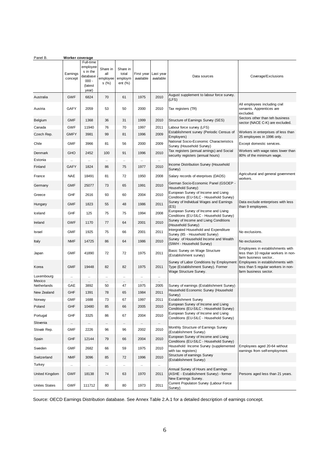| Panel B.                   | Worker coverage     |                                                                              |                                     |                                            |              |                                   |                                                                                                           |                                                                                                  |
|----------------------------|---------------------|------------------------------------------------------------------------------|-------------------------------------|--------------------------------------------|--------------|-----------------------------------|-----------------------------------------------------------------------------------------------------------|--------------------------------------------------------------------------------------------------|
|                            | Earnings<br>concept | Full-time<br>employee<br>s in the<br>database<br>$000 -$<br>(latest<br>year) | Share in<br>all<br>employee<br>s(%) | Share in<br>total<br>employm<br>ent $(\%)$ | available    | First year Last year<br>available | Data sources                                                                                              | Coverage/Exclusions                                                                              |
| Australia                  | <b>GWF</b>          | 6824                                                                         | 70                                  | 61                                         | 1975         | 2010                              | August supplement to labour force survey.<br>(LFS)                                                        |                                                                                                  |
| Austria                    | GAFY                | 2059                                                                         | 53                                  | 50                                         | 2000         | 2010                              | Tax registers (TR)                                                                                        | All employees including civil<br>servants. Apprentices are<br>excluded.                          |
| Belgium                    | <b>GMF</b>          | 1368                                                                         | 36                                  | 31                                         | 1999         | 2010                              | Structure of Earnings Survey (SES)                                                                        | Sectors other than teh business<br>sector (NACE C-K) are excluded.                               |
| Canada                     | <b>GWF</b>          | 11940                                                                        | 76                                  | 70                                         | 1997         | 2011                              | Labour force survey (LFS)                                                                                 |                                                                                                  |
| Czech Rep.                 | <b>GMFY</b>         | 3981                                                                         | 99                                  | 81                                         | 1996         | 2009                              | Establishment survey (Periodic Census of<br>Employers)                                                    | Workers in enterprises of less than<br>25 employees in 1996 only.                                |
| Chile                      | <b>GMF</b>          | 3966                                                                         | 81                                  | 56                                         | 2000         | 2009                              | National Socio-Economic Characteristics<br>Survey (Household Survey)                                      | Except domestic services.                                                                        |
| Denmark                    | <b>GHO</b>          | 2452                                                                         | 100                                 | 91                                         | 1996         | 2010                              | Tax registers (annual amings) and Social<br>security registers (annual hours)                             | Workers with wage rates lower than<br>80% of the minimum wage.                                   |
| Estonia                    |                     | $\ddotsc$                                                                    | $\ddotsc$                           | $\ddot{\phantom{0}}$                       | $\ddotsc$    | u.                                |                                                                                                           |                                                                                                  |
| Finland                    | <b>GAFY</b>         | 1824                                                                         | 86                                  | 75                                         | 1977         | 2010                              | Income Distribution Survey (Household<br>Survey)                                                          |                                                                                                  |
| France                     | <b>NAE</b>          | 18491                                                                        | 81                                  | 72                                         | 1950         | 2008                              | Salary records of eterprises (DADS)                                                                       | Agricultural and general government<br>workers.                                                  |
| Germany                    | <b>GMF</b>          | 25077                                                                        | 73                                  | 65                                         | 1991         | 2010                              | German Socio-Economic Panel (GSOEP -<br>Household Survey)                                                 |                                                                                                  |
| Greece                     | GHF                 | 2616                                                                         | 93                                  | 60                                         | 2004         | 2010                              | European Survey of Income and Living<br>Conditions (EU-SILC - Household Survey)                           |                                                                                                  |
| Hungary                    | <b>GMF</b>          | 1823                                                                         | 55                                  | 48                                         | 1986         | 2011                              | Survey of Individual Wages and Earnings<br>(ES)                                                           | Data exclude enterprises with less<br>than 9 employees.                                          |
| Iceland                    | <b>GHF</b>          | 125                                                                          | 75                                  | 75                                         | 1994         | 2008                              | European Survey of Income and Living<br>Conditions (EU-SILC - Household Survey)                           |                                                                                                  |
| Ireland                    | <b>GWF</b>          | 1170                                                                         | 77                                  | 64                                         | 2001         | 2010                              | Survey of Income and Living Conditions<br>(Household Survey)                                              |                                                                                                  |
| Israel                     | <b>GMF</b>          | 1925                                                                         | 75                                  | 66                                         | 2001         | 2011                              | Intergrated Household and Expenditure<br>Survey (IIS - Household Survey)                                  | No exclusions.                                                                                   |
| Italy                      | <b>NMF</b>          | 14725                                                                        | 86                                  | 64                                         | 1986         | 2010                              | Survey of Household Income and Wealth<br>(SIWH - Household Survey)                                        | No exclusions.                                                                                   |
| Japan                      | <b>GMF</b>          | 41890                                                                        | 72                                  | 72                                         | 1975         | 2011                              | Basic Survey on Wage Structure<br>(Establishment survey)                                                  | Employees in establishments with<br>less than 10 regular workers in non-<br>farm business sector |
| Korea                      | <b>GMF</b>          | 19448                                                                        | 82                                  | 82                                         | 1975         | 2011                              | Survey of Labor Conditions by Employment<br>Type (Establishment Survey). Former<br>Wage Structure Survey. | Employees in establishments with<br>less than 5 regular workers in non-<br>farm business sector. |
| Luxembourg                 |                     | $\ddotsc$                                                                    | $\ddotsc$                           | $\ddotsc$                                  | $\ddotsc$    | $\ddotsc$                         |                                                                                                           |                                                                                                  |
| Mexico                     |                     |                                                                              | $\ldots$                            | $\cdot$ .                                  |              |                                   | Survey of earnings (Establishment Survey)                                                                 |                                                                                                  |
| Netherlands<br>New Zealand | GAE<br><b>GHF</b>   | 3892<br>1391                                                                 | 50<br>78                            | 47<br>65                                   | 1975<br>1984 | 2005<br>2011                      | Household Economic Survey (Household                                                                      |                                                                                                  |
| Norway                     | <b>GMF</b>          | 1688                                                                         | 73                                  | 67                                         | 1997         | 2011                              | Survey)<br><b>Establishment Survey</b>                                                                    |                                                                                                  |
| Poland                     | <b>GHF</b>          | 10480                                                                        | 85                                  | 66                                         | 2005         | 2010                              | European Survey of Income and Living<br>Conditions (EU-SILC - Household Survey)                           |                                                                                                  |
| Portugal                   | GHF                 | 3325                                                                         | 86                                  | 67                                         | 2004         | 2010                              | European Survey of Income and Living<br>Conditions (EU-SILC - Household Survey)                           |                                                                                                  |
| Slovenia                   |                     |                                                                              |                                     |                                            |              |                                   |                                                                                                           |                                                                                                  |
| Slovak Rep.                | <b>GMF</b>          | 2226                                                                         | 96                                  | 96                                         | 2002         | 2010                              | Monthly Structure of Earnings Survey<br>(Establishment Survey)                                            |                                                                                                  |
| Spain                      | GHF                 | 12144                                                                        | 79                                  | 66                                         | 2004         | 2010                              | European Survey of Income and Living<br>Conditions (EU-SILC - Household Survey)                           |                                                                                                  |
| Sweden                     | <b>GMF</b>          | 2682                                                                         | 66                                  | 59                                         | 1975         | 2010                              | Household Income Survey (supplemented<br>with tax registers)                                              | Employees aged 20-64 without<br>earnings from self-employment.                                   |
| Switzerland                | <b>NMF</b>          | 3096                                                                         | 85                                  | 72                                         | 1996         | 2010                              | Structure of earnings Survey<br>(Establishment Survey)                                                    |                                                                                                  |
| Turkey                     |                     |                                                                              |                                     |                                            |              | H.                                |                                                                                                           |                                                                                                  |
| United Kingdom             | <b>GWF</b>          | 18138                                                                        | 74                                  | 63                                         | 1970         | 2011                              | Annual Survey of Hours and Earnings<br>(ASHE - Establishment Survey) - former<br>New Earnings Survey.     | Persons aged less than 21 years.                                                                 |
| <b>Unites States</b>       | <b>GWF</b>          | 111712                                                                       | 80                                  | 80                                         | 1973         | 2011                              | Current Populaton Survey (Labour Force<br>Survey)                                                         |                                                                                                  |

Source: OECD Earnings Distribution database. See Annex Table 2.A.1 for a detailed description of earnings concept.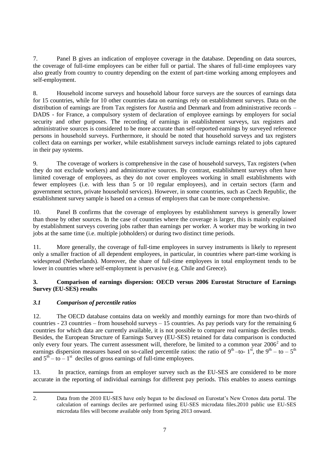7. Panel B gives an indication of employee coverage in the database. Depending on data sources, the coverage of full-time employees can be either full or partial. The shares of full-time employees vary also greatly from country to country depending on the extent of part-time working among employees and self-employment.

8. Household income surveys and household labour force surveys are the sources of earnings data for 15 countries, while for 10 other countries data on earnings rely on establishment surveys. Data on the distribution of earnings are from Tax registers for Austria and Denmark and from administrative records – DADS - for France, a compulsory system of declaration of employee earnings by employers for social security and other purposes. The recording of earnings in establishment surveys, tax registers and administrative sources is considered to be more accurate than self-reported earnings by surveyed reference persons in household surveys. Furthermore, it should be noted that household surveys and tax registers collect data on earnings per worker, while establishment surveys include earnings related to jobs captured in their pay systems.

9. The coverage of workers is comprehensive in the case of household surveys, Tax registers (when they do not exclude workers) and administrative sources. By contrast, establishment surveys often have limited coverage of employees, as they do not cover employees working in small establishments with fewer employees (i.e. with less than 5 or 10 regular employees), and in certain sectors (farm and government sectors, private household services). However, in some countries, such as Czech Republic, the establishment survey sample is based on a census of employers that can be more comprehensive.

10. Panel B confirms that the coverage of employees by establishment surveys is generally lower than those by other sources. In the case of countries where the coverage is larger, this is mainly explained by establishment surveys covering jobs rather than earnings per worker. A worker may be working in two jobs at the same time (i.e. multiple jobholders) or during two distinct time periods.

11. More generally, the coverage of full-time employees in survey instruments is likely to represent only a smaller fraction of all dependent employees, in particular, in countries where part-time working is widespread (Netherlands). Moreover, the share of full-time employees in total employment tends to be lower in countries where self-employment is pervasive (e.g. Chile and Greece).

### **3. Comparison of earnings dispersion: OECD versus 2006 Eurostat Structure of Earnings Survey (EU-SES) results**

## *3.1 Comparison of percentile ratios*

12. The OECD database contains data on weekly and monthly earnings for more than two-thirds of countries - 23 countries – from household surveys – 15 countries. As pay periods vary for the remaining 6 countries for which data are currently available, it is not possible to compare real earnings deciles trends. Besides, the European Structure of Earnings Survey (EU-SES) retained for data comparison is conducted only every four years. The current assessment will, therefore, be limited to a common year  $2006^2$  and to earnings dispersion measures based on so-called percentile ratios: the ratio of  $9^{th}$  -to-  $1^{st}$ , the  $9^{th}$  - to -  $5^{th}$ and  $5^{th} - to - 1^{st}$  deciles of gross earnings of full-time employees.

13. In practice, earnings from an employer survey such as the EU-SES are considered to be more accurate in the reporting of individual earnings for different pay periods. This enables to assess earnings

 2. Data from the 2010 EU-SES have only begun to be disclosed on Eurostat's New Cronos data portal. The calculation of earnings deciles are performed using EU-SES microdata files.2010 public use EU-SES microdata files will become available only from Spring 2013 onward.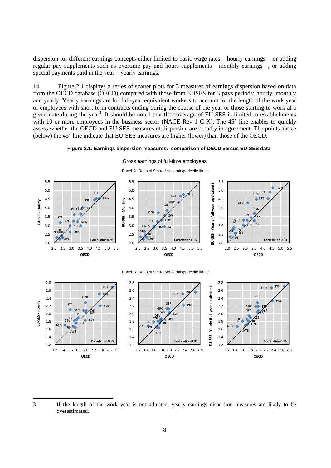dispersion for different earnings concepts either limited to basic wage rates – hourly earnings -, or adding regular pay supplements such as overtime pay and hours supplements - monthly earnings –, or adding special payments paid in the year – yearly earnings.

14. Figure 2.1 displays a series of scatter plots for 3 measures of earnings dispersion based on data from the OECD database (OECD) compared with those from EUSES for 3 pays periods: hourly, monthly and yearly. Yearly earnings are for full-year equivalent workers to account for the length of the work year of employees with short-term contracts ending during the course of the year or those starting to work at a given date during the year<sup>3</sup>. It should be noted that the coverage of EU-SES is limited to establishments with 10 or more employees in the business sector (NACE Rev 1 C-K). The 45° line enables to quickly assess whether the OECD and EU-SES measures of dispersion are broadly in agreement. The points above (below) the 45° line indicate that EU-SES measures are higher (lower) than those of the OECD.

#### **Figure 2.1. Earnings dispersion measures: comparison of OECD versus EU-SES data**



Gross earnings of full-time employees

**OECD**

**Correlation 0.93**

1.2

1.2

**OECD**

**Correlation 0.85**

1.2

**OECD**

**Correlation 0.94**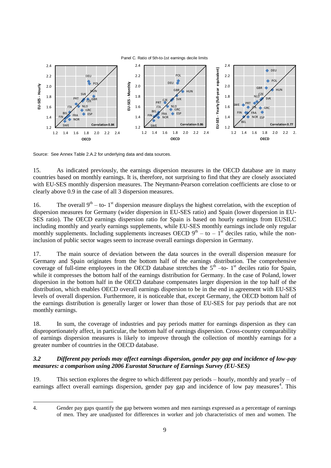

Source: See Annex Table 2.A.2 for underlying data and data sources.

15. As indicated previously, the earnings dispersion measures in the OECD database are in many countries based on monthly earnings. It is, therefore, not surprising to find that they are closely associated with EU-SES monthly dispersion measures. The Neymann-Pearson correlation coefficients are close to or clearly above 0.9 in the case of all 3 dispersion measures.

16. The overall  $9<sup>th</sup> -$  to-1<sup>st</sup> dispersion measure displays the highest correlation, with the exception of dispersion measures for Germany (wider dispersion in EU-SES ratio) and Spain (lower dispersion in EU-SES ratio). The OECD earnings dispersion ratio for Spain is based on hourly earnings from EUSILC including monthly and yearly earnings supplements, while EU-SES monthly earnings include only regular monthly supplements. Including supplements increases OECD  $9<sup>th</sup> -$  to  $-1<sup>st</sup>$  deciles ratio, while the noninclusion of public sector wages seem to increase overall earnings dispersion in Germany.

17. The main source of deviation between the data sources in the overall dispersion measure for Germany and Spain originates from the bottom half of the earnings distribution. The comprehensive coverage of full-time employees in the OECD database stretches the  $5<sup>th</sup>$  -to- 1<sup>st</sup> deciles ratio for Spain, while it compresses the bottom half of the earnings distribution for Germany. In the case of Poland, lower dispersion in the bottom half in the OECD database compensates larger dispersion in the top half of the distribution, which enables OECD overall earnings dispersion to be in the end in agreement with EU-SES levels of overall dispersion. Furthermore, it is noticeable that, except Germany, the OECD bottom half of the earnings distribution is generally larger or lower than those of EU-SES for pay periods that are not monthly earnings.

18. In sum, the coverage of industries and pay periods matter for earnings dispersion as they can disproportionately affect, in particular, the bottom half of earnings dispersion. Cross-country comparability of earnings dispersion measures is likely to improve through the collection of monthly earnings for a greater number of countries in the OECD database.

#### *3.2 Different pay periods may affect earnings dispersion, gender pay gap and incidence of low-pay measures: a comparison using 2006 Eurostat Structure of Earnings Survey (EU-SES)*

19. This section explores the degree to which different pay periods – hourly, monthly and yearly – of earnings affect overall earnings dispersion, gender pay gap and incidence of low pay measures<sup>4</sup>. This

<sup>4.</sup> Gender pay gaps quantify the gap between women and men earnings expressed as a percentage of earnings of men. They are unadjusted for differences in worker and job characteristics of men and women. The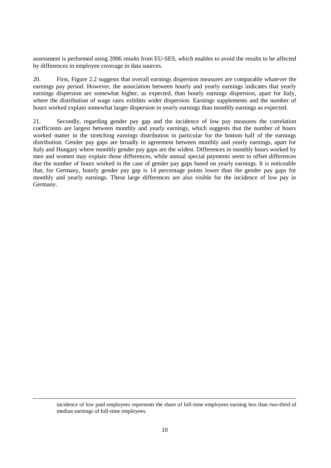assessment is performed using 2006 results from EU-SES, which enables to avoid the results to be affected by differences in employee coverage in data sources.

20. First, Figure 2.2 suggests that overall earnings dispersion measures are comparable whatever the earnings pay period. However, the association between hourly and yearly earnings indicates that yearly earnings dispersion are somewhat higher, as expected, than hourly earnings dispersion, apart for Italy, where the distribution of wage rates exhibits wider dispersion. Earnings supplements and the number of hours worked explain somewhat larger dispersion in yearly earnings than monthly earnings as expected.

21. Secondly, regarding gender pay gap and the incidence of low pay measures the correlation coefficients are largest between monthly and yearly earnings, which suggests that the number of hours worked matter in the stretching earnings distribution in particular for the bottom half of the earnings distribution. Gender pay gaps are broadly in agreement between monthly and yearly earnings, apart for Italy and Hungary where monthly gender pay gaps are the widest. Differences in monthly hours worked by men and women may explain those differences, while annual special payments seem to offset differences due the number of hours worked in the case of gender pay gaps based on yearly earnings. It is noticeable that, for Germany, hourly gender pay gap is 14 percentage points lower than the gender pay gaps for monthly and yearly earnings. These large differences are also visible for the incidence of low pay in Germany.

incidence of low paid employees represents the share of full-time employees earning less than two-third of median earnings of full-time employees.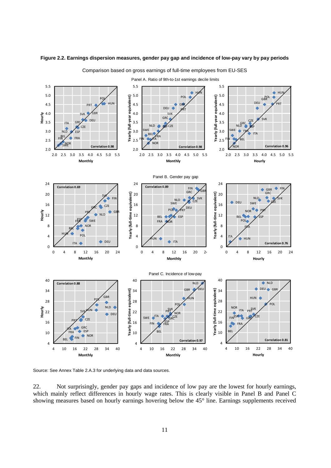

#### **Figure 2.2. Earnings dispersion measures, gender pay gap and incidence of low-pay vary by pay periods**

Comparison based on gross earnings of full-time employees from EU-SES

Source: See Annex Table 2.A.3 for underlying data and data sources.

22. Not surprisingly, gender pay gaps and incidence of low pay are the lowest for hourly earnings, which mainly reflect differences in hourly wage rates. This is clearly visible in Panel B and Panel C showing measures based on hourly earnings hovering below the 45° line. Earnings supplements received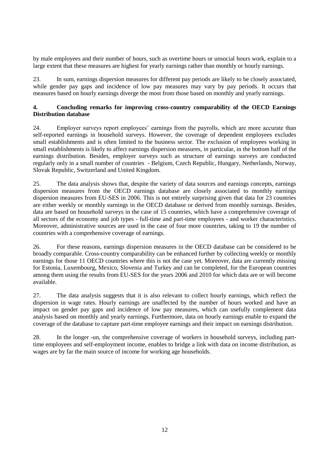by male employees and their number of hours, such as overtime hours or unsocial hours work, explain to a large extent that these measures are highest for yearly earnings rather than monthly or hourly earnings.

23. In sum, earnings dispersion measures for different pay periods are likely to be closely associated, while gender pay gaps and incidence of low pay measures may vary by pay periods. It occurs that measures based on hourly earnings diverge the most from those based on monthly and yearly earnings.

#### **4. Concluding remarks for improving cross-country comparability of the OECD Earnings Distribution database**

24. Employer surveys report employees' earnings from the payrolls, which are more accurate than self-reported earnings in household surveys. However, the coverage of dependent employees excludes small establishments and is often limited to the business sector. The exclusion of employees working in small establishments is likely to affect earnings dispersion measures, in particular, in the bottom half of the earnings distribution. Besides, employer surveys such as structure of earnings surveys are conducted regularly only in a small number of countries - Belgium, Czech Republic, Hungary, Netherlands, Norway, Slovak Republic, Switzerland and United Kingdom.

25. The data analysis shows that, despite the variety of data sources and earnings concepts, earnings dispersion measures from the OECD earnings database are closely associated to monthly earnings dispersion measures from EU-SES in 2006. This is not entirely surprising given that data for 23 countries are either weekly or monthly earnings in the OECD database or derived from monthly earnings. Besides, data are based on household surveys in the case of 15 countries, which have a comprehensive coverage of all sectors of the economy and job types - full-time and part-time employees - and worker characteristics. Moreover, administrative sources are used in the case of four more countries, taking to 19 the number of countries with a comprehensive coverage of earnings.

26. For these reasons, earnings dispersion measures in the OECD database can be considered to be broadly comparable. Cross-country comparability can be enhanced further by collecting weekly or monthly earnings for those 11 OECD countries where this is not the case yet. Moreover, data are currently missing for Estonia, Luxembourg, Mexico, Slovenia and Turkey and can be completed, for the European countries among them using the results from EU-SES for the years 2006 and 2010 for which data are or will become available.

27. The data analysis suggests that it is also relevant to collect hourly earnings, which reflect the dispersion in wage rates. Hourly earnings are unaffected by the number of hours worked and have an impact on gender pay gaps and incidence of low pay measures, which can usefully complement data analysis based on monthly and yearly earnings. Furthermore, data on hourly earnings enable to expand the coverage of the database to capture part-time employee earnings and their impact on earnings distribution.

28. In the longer -un, the comprehensive coverage of workers in household surveys, including parttime employees and self-employment income, enables to bridge a link with data on income distribution, as wages are by far the main source of income for working age households.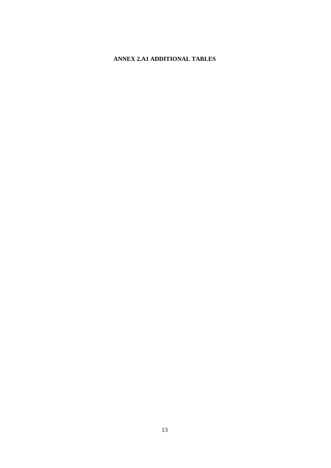# **ANNEX 2.A1 ADDITIONAL TABLES**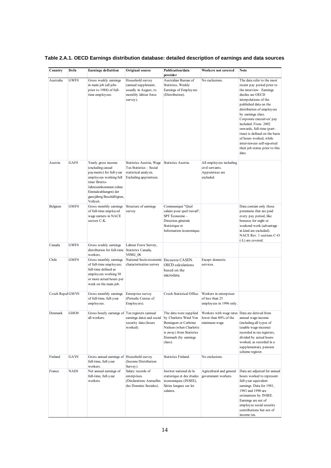| Country          | Defn             | <b>Earnings definition</b>                                                                                                                                                                               | Original source                                                                                        | Publication/data<br>provider                                                                                                              | Workers not covered                                                                     | <b>Note</b>                                                                                                                                                                                                                                                                                                                                                                                                                       |
|------------------|------------------|----------------------------------------------------------------------------------------------------------------------------------------------------------------------------------------------------------|--------------------------------------------------------------------------------------------------------|-------------------------------------------------------------------------------------------------------------------------------------------|-----------------------------------------------------------------------------------------|-----------------------------------------------------------------------------------------------------------------------------------------------------------------------------------------------------------------------------------------------------------------------------------------------------------------------------------------------------------------------------------------------------------------------------------|
| Australia        | GWF0             | Gross weekly earnings<br>in main job (all jobs<br>prior to 1988) of full-<br>time employees.                                                                                                             | Household survey<br>(annual supplement,<br>usually in August, to<br>monthly labour force<br>survey).   | Australian Bureau of<br>Statistics, Weekly<br>Earnings of Employees<br>(Distribution).                                                    | No exclusions.                                                                          | The data refer to the most<br>recent pay period prior to<br>the interview. Earnings<br>deciles are OECD<br>interpolations of the<br>published data on the<br>distribution of employees<br>by earnings class.<br>Corporate execuitves' pay<br>included. From 2002<br>onwards, full-time (part-<br>time) is defined on the basis<br>of hours worked, while<br>interviewees self-reported<br>their job status prior to this<br>date. |
| Austria          | GAF0             | Yearly gross income<br>(excluding casual<br>payments) for full-year<br>employees working full<br>time/Brutto-<br>Jahreseinkommen (ohne<br>Einmalzahlungen) der<br>ganzjährig Beschäftigten,<br>Vollzeit. | Statistics Austria, Wage<br>Tax Statistics - Social<br>statistical analysis.<br>Excluding apprentices. | Statistics Austria.                                                                                                                       | All employees including<br>civil servants.<br>Apprentices are<br>excluded.              |                                                                                                                                                                                                                                                                                                                                                                                                                                   |
| Belgium          | GMF0             | Gross monthly earnings<br>of full-time employed<br>wage earners in NACE<br>sectors C-K.                                                                                                                  | Structure of earnings<br>survey                                                                        | Communiqué "Quel<br>salaire pour quel travail",<br>SPF Economie-<br>Direction générale<br>Statistique et<br>Information économique.       |                                                                                         | Data contain only those<br>premiums that are paid<br>every pay period, like<br>bonuses for night or<br>weekend work (advantage<br>in kind are excluded).<br>NACE Rev. 1 sections C-O<br>(-L) are covered.                                                                                                                                                                                                                         |
| Canada           | GWF0             | Gross weekly earnings<br>distribution for full-time Statistics Canada,<br>workers.                                                                                                                       | Labour Force Survey,<br>V0902 06                                                                       |                                                                                                                                           |                                                                                         |                                                                                                                                                                                                                                                                                                                                                                                                                                   |
| Chile            | GMF0             | Gross monthly earnings<br>of full-time employees;<br>full-time defined as<br>employees working 30<br>or more actual hours per<br>week on the main job.                                                   | National Socio-economic Encuesta CASEN.<br>characterisation survey                                     | OECD calculations<br>based on the<br>microdata.                                                                                           | Except domestic<br>services.                                                            |                                                                                                                                                                                                                                                                                                                                                                                                                                   |
| Czech Repul GMY0 |                  | Gross monthly earnings<br>of full-time, full-year<br>employees.                                                                                                                                          | Enterprise survey<br>(Periodic Census of<br>Employers).                                                | Czech Statistical Office.                                                                                                                 | Workers in enterprises<br>of less than 25<br>employees in 1996 only.                    |                                                                                                                                                                                                                                                                                                                                                                                                                                   |
| Denmark          | GHO <sub>0</sub> | Gross hourly earnings of Tax registers (annual<br>all workers.                                                                                                                                           | earnings data) and social by Charlotte Wind Von<br>security data (hours<br>worked).                    | The data were supplied<br>Bennigsen or Cathrine<br>Nielsen (when Charlotte<br>is away) from Statistics<br>Denmark (by earnings<br>class). | Workers with wage rates Data are derived from<br>lower than 80% of the<br>minimum wage. | annual wage-income<br>(including all types of<br>taxable wage-income)<br>recorded in tax registers,<br>divided by actual hours<br>worked, as recorded in a<br>supplementary pension<br>scheme register.                                                                                                                                                                                                                           |
| Finland          | GAY <sub>0</sub> | Gross annual earnings of Household survey<br>full-time, full-year<br>workers.                                                                                                                            | (Income Distribution)<br>Survey).                                                                      | Statistics Finland.                                                                                                                       | No exclusions.                                                                          |                                                                                                                                                                                                                                                                                                                                                                                                                                   |
| France           | NAE0             | Net annual earnings of<br>full-time, full-year<br>workers.                                                                                                                                               | Salary records of<br>enterprises.<br>(Déclarations Annuelles<br>des Données Sociales).                 | Institut national de la<br>statistique et des études<br>économiques (INSEE),<br>Séries longues sur les<br>salaires.                       | Agricultural and general<br>government workers.                                         | Data are adjusted for annual<br>hours worked to represent<br>full-year equivalent<br>earnings. Data for 1981,<br>1983 and 1990 are<br>estimations by INSEE.<br>Earnings are net of<br>employee social security<br>contributions but not of<br>income tax.                                                                                                                                                                         |

# **Table 2.A.1. OECD Earnings distribution database: detailed description of earnings and data sources**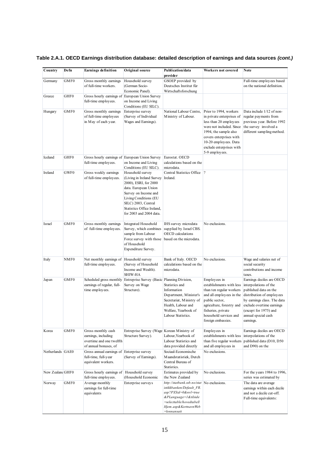| Country          | Defn             | <b>Earnings definition</b>                                                                     | Original source                                                                                                                                                                                                                 | Publication/data<br>provider                                                                                                                                                 | Workers not covered                                                                                                                                                                                                                  | Note                                                                                                                                                                                                                              |
|------------------|------------------|------------------------------------------------------------------------------------------------|---------------------------------------------------------------------------------------------------------------------------------------------------------------------------------------------------------------------------------|------------------------------------------------------------------------------------------------------------------------------------------------------------------------------|--------------------------------------------------------------------------------------------------------------------------------------------------------------------------------------------------------------------------------------|-----------------------------------------------------------------------------------------------------------------------------------------------------------------------------------------------------------------------------------|
| Germany          | GMF0             | Gross monthly earnings<br>of full-time workers.                                                | Household survey<br>(German Socio-<br>Economic Panel).                                                                                                                                                                          | GSOEP provided by<br>Deutsches Institut für<br>Wirtschaftsforschung                                                                                                          |                                                                                                                                                                                                                                      | Full-time employees based<br>on the national definition.                                                                                                                                                                          |
| Greece           | GHF <sub>0</sub> | Gross hourly earnings of European Union Survey<br>full-time employees.                         | on Income and Living<br>Conditions (EU SILC).                                                                                                                                                                                   |                                                                                                                                                                              |                                                                                                                                                                                                                                      |                                                                                                                                                                                                                                   |
| Hungary          | GMF <sub>0</sub> | Gross monthly earnings<br>of full-time employees<br>in May of each year.                       | Enterprise survey<br>(Survey of Individual<br>Wages and Earnings).                                                                                                                                                              | National Labour Centre,<br>Ministry of Labour.                                                                                                                               | Prior to 1994, workers<br>in private enterprises of<br>less than 20 employees<br>were not included. Since<br>1994, the sample also<br>covers enterprises with<br>10-20 employees. Data<br>exclude enterprises with<br>5-9 employees. | Data include 1/12 of non-<br>regular payments from<br>previous year. Before 1992<br>the survey involved a<br>different sampling method.                                                                                           |
| Iceland          | GHF <sub>0</sub> | Gross hourly earnings of European Union Survey<br>full-time employees.                         | on Income and Living<br>Conditions (EU SILC).                                                                                                                                                                                   | Eurostat. OECD<br>calculations based on the<br>microdata.                                                                                                                    |                                                                                                                                                                                                                                      |                                                                                                                                                                                                                                   |
| Ireland          | GWF0             | Gross weekly earnings<br>of full-time employees.                                               | Household survey<br>(Living in Ireland Survey<br>2000), ESRI, for 2000<br>data. European Union<br>Survey on Income and<br>Living Conditions (EU<br>SILC) 2003, Central<br>Statistics Office Ireland,<br>for 2003 and 2004 data. | Central Statistics Office  ?<br>Ireland.                                                                                                                                     |                                                                                                                                                                                                                                      |                                                                                                                                                                                                                                   |
| Israel           | GMF <sub>0</sub> | Gross monthly earnings<br>of full-time employees.                                              | <b>Integrated Household</b><br>Survey, which combines<br>sample from Labour<br>Force survey with those<br>of Household<br>Expenditure Survey.                                                                                   | IHS survey microdata<br>supplied by Israel CBS.<br><b>OECD</b> calculations<br>based on the microdata.                                                                       | No exclusions.                                                                                                                                                                                                                       |                                                                                                                                                                                                                                   |
| Italy            | NMF <sub>0</sub> | Net monthly earnings of<br>full-time employees.                                                | Household survey<br>(Survey of Household<br>Income and Wealth).<br><b>SHIW-HA</b>                                                                                                                                               | Bank of Italy. OECD<br>calculations based on the<br>microdata.                                                                                                               | No exclusions.                                                                                                                                                                                                                       | Wage and salaries net of<br>social security<br>contributions and income<br>taxes.                                                                                                                                                 |
| Japan            | GMF <sub>0</sub> | Scheduled gross monthly<br>earnings of regular, full-<br>time employees.                       | Entreprise Survey (Basic Planning Division,<br>Survey on Wage<br>Structure).                                                                                                                                                    | Statistics and<br>Information<br>Department, Minister's<br>Secretariat, Ministry of<br>Health, Labour and<br>Welfare, Yearbook of<br>Labour Statistics.                      | Employees in<br>establishments with less<br>than ten regular workers<br>and all employees in the<br>public sector,<br>agriculture, forestry and<br>fisheries, private<br>household services and<br>foreign embassies.                | Earnings deciles are OECD<br>interpolations of the<br>published data on the<br>distribution of employees<br>by earnings class. The data<br>exclude overtime earnings<br>(except for 1975) and<br>annual special cash<br>earnings. |
| Korea            | GMF <sub>0</sub> | Gross monthly cash<br>earnings, including<br>overtime and one twelfth<br>of annual bonuses, of | Entreprise Survey (Wage Korean Ministry of<br>Structure Survey).                                                                                                                                                                | Labour, Yearbook of<br>Labour Statistics and<br>data provided directly                                                                                                       | Employees in<br>establishments with less<br>than five regular workers<br>and all employees in                                                                                                                                        | Earnings deciles are OECD<br>interpolations of the<br>published data (D10, D50<br>and D90) on the                                                                                                                                 |
| Netherlands GAE0 |                  | Gross annual earnings of Enterprise survey<br>full-time, full-year<br>equivalent workers.      | (Survey of Earnings).                                                                                                                                                                                                           | Sociaal-Economische<br>Maandstatistiek, Dutch<br>Central Bureau of<br>Statistics.                                                                                            | No exclusions.                                                                                                                                                                                                                       |                                                                                                                                                                                                                                   |
| New Zealand GHF0 |                  | Gross hourly earnings of Household survey<br>full-time employees.                              | (Household Economic                                                                                                                                                                                                             | Estimates provided by<br>the New Zealand                                                                                                                                     | No exclusions.                                                                                                                                                                                                                       | For the years 1984 to 1996,<br>series was estimated by                                                                                                                                                                            |
| Norway           | GMF <sub>0</sub> | Average monthly<br>earnings for full-time<br>equivalents                                       | Enterprise surveys                                                                                                                                                                                                              | http://statbank.ssb.no/stat<br>istikkbanken/Default FR.<br>asp?PXSid=0&nvl=true<br>&PLanguage=1 & tilside<br>=selecttable/hovedtabell<br>Hjem.asp&KortnavnWeb<br>=lonnansatt | No exclusions.                                                                                                                                                                                                                       | The data are average<br>earnings within each decile<br>and not a decile cut-off.<br>Full-time equivalents:                                                                                                                        |

# **Table 2.A.1. OECD Earnings distribution database: detailed description of earnings and data sources** *(cont.)*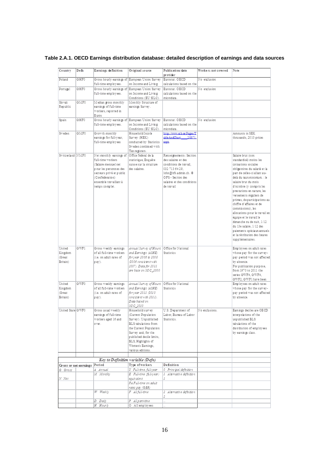| Country                                 | Defn                         | Earnings definition                                                                                                                                                                                             | Original source                                                                                                                                                                                                                      | Publication/data<br>provider                                                                                                                                                        | Workers not covered | Note                                                                                                                                                                                                                                                                                                                                                                                                                                                                                                                                                                    |
|-----------------------------------------|------------------------------|-----------------------------------------------------------------------------------------------------------------------------------------------------------------------------------------------------------------|--------------------------------------------------------------------------------------------------------------------------------------------------------------------------------------------------------------------------------------|-------------------------------------------------------------------------------------------------------------------------------------------------------------------------------------|---------------------|-------------------------------------------------------------------------------------------------------------------------------------------------------------------------------------------------------------------------------------------------------------------------------------------------------------------------------------------------------------------------------------------------------------------------------------------------------------------------------------------------------------------------------------------------------------------------|
| Poland                                  | GHF0                         |                                                                                                                                                                                                                 | Gross hourly earnings of European Union Survey Eurostat. OECD                                                                                                                                                                        |                                                                                                                                                                                     | No exclusion        |                                                                                                                                                                                                                                                                                                                                                                                                                                                                                                                                                                         |
|                                         |                              | full-time employees.                                                                                                                                                                                            | on Income and Living                                                                                                                                                                                                                 | calculations based on the                                                                                                                                                           |                     |                                                                                                                                                                                                                                                                                                                                                                                                                                                                                                                                                                         |
| Portugal                                | GHF0                         | Gross hourly earnings of European Union Survey Eurostat. OECD                                                                                                                                                   |                                                                                                                                                                                                                                      |                                                                                                                                                                                     | No exclusion        |                                                                                                                                                                                                                                                                                                                                                                                                                                                                                                                                                                         |
|                                         |                              | full-time employees.                                                                                                                                                                                            | on Income and Living<br>Conditions (EU SILC).                                                                                                                                                                                        | calculations based on the<br>microdata.                                                                                                                                             |                     |                                                                                                                                                                                                                                                                                                                                                                                                                                                                                                                                                                         |
| Slovak<br>Republic                      | <b>GMF0</b>                  | Median gross monthly<br>earnings of full-time                                                                                                                                                                   | Monthly Structure of<br>earnings Survey.                                                                                                                                                                                             |                                                                                                                                                                                     |                     |                                                                                                                                                                                                                                                                                                                                                                                                                                                                                                                                                                         |
|                                         |                              | workers, reported in<br>Euros                                                                                                                                                                                   |                                                                                                                                                                                                                                      |                                                                                                                                                                                     |                     |                                                                                                                                                                                                                                                                                                                                                                                                                                                                                                                                                                         |
| Spain                                   | GHF0                         | Gross hourly earnings of European Union Survey   Eurostat. OECD<br>full-time employees.                                                                                                                         | on Income and Living<br>Conditions (EU SILC).                                                                                                                                                                                        | calculations based on the<br>microdata.                                                                                                                                             | No exclusion        |                                                                                                                                                                                                                                                                                                                                                                                                                                                                                                                                                                         |
| Sweden                                  | GMF0                         | Growth monthly<br>earnings for full-year,<br>full-time employees                                                                                                                                                | Household Incole<br>Survey (HEK)<br>conducted by Statistics<br>Sweden combined with<br>Tax registers.                                                                                                                                | http://www.scb.sa/Pages/T<br>able AndChart 28871.<br>sapx                                                                                                                           |                     | Amounts in SEK<br>thousands, 2010 prices                                                                                                                                                                                                                                                                                                                                                                                                                                                                                                                                |
| Switzerland NMF0                        |                              | Net monthly earnings of Office fédéral de la<br>full-time workers<br>(Salaire mensuel net<br>plour les personnes des<br>secteurs privé et public<br>(Confédération)<br>ensemble travaillant à<br>temps complet. | statistique, Enquête<br>suisse sur la structure<br>des salaires.                                                                                                                                                                     | Renseignements: Section<br>des salaires et des<br>conditions de travail.<br>032 713 64 29.<br>lohn@bfs.admin.ch. @<br>OFS - Section des<br>salaires et des conditions<br>de travail |                     | Salaire brut (non<br>standardisé) moins les<br>cotisations sociales<br>obligatoires du salarié et la<br>part de celles-ci allant au-<br>delà du taux-minimum. : le<br>salaire brut du mois<br>d'octobre (y compris les<br>prestations en nature, les<br>versements réguliers de<br>primes, departicipations au<br>chiffre d'affaires et de<br>commissions). les<br>allocations pour le travail en<br>équipe et le travail le<br>dimanche ou de nuit. 1/12<br>du 13e salaire, 1/12 des<br>paiements spéciaux annuels<br>et la rétribution des heures<br>supplémentaires. |
| United<br>Kingdom<br>(Great<br>Britain) | GWF1                         | Gross weekly earnings   Annual Surv ey of Hours   Office for National<br>of all full-time workers<br>(i.e. on adult rates of<br>pay).                                                                           | and Earnings (ASHE)<br>for year 2006 to 2008<br>(2006 consistent with<br>2007). Data for 2011<br>are base on SOC_2000                                                                                                                | Statistics                                                                                                                                                                          |                     | Employees on adult rates<br>whose pay for the survey-<br>pay period was not affected<br>by absence.<br>For publication purpose,<br>from 1970 to 2011 the<br>series GWF4, GWF4,<br>GWF2, GWF1 have been                                                                                                                                                                                                                                                                                                                                                                  |
| United                                  | GWF0                         | Gross weekly earnings                                                                                                                                                                                           | Annual Survey of Hours Office for National                                                                                                                                                                                           |                                                                                                                                                                                     |                     | Employees on adult rates                                                                                                                                                                                                                                                                                                                                                                                                                                                                                                                                                |
| Kingdom<br>(Great<br>Britain)           |                              | of all full-time workers<br>(i.e. on adult rates of<br>p ay).                                                                                                                                                   | and Earnings (ASHE)<br>foryear 2011 (2010)<br>cons is is nt with 2011).<br>Data based on<br>SOC 2010                                                                                                                                 | Statistics                                                                                                                                                                          |                     | whose pay for the survey-<br>pay period was not affected<br>by absence.                                                                                                                                                                                                                                                                                                                                                                                                                                                                                                 |
| United State GWF0                       |                              | Gross usual weekly<br>earnings of full-time<br>workers aged 16 and<br>over.                                                                                                                                     | Household survey<br>(Current Population<br>Survey). Unpublished<br>BLS tabulations from<br>the Current Population<br>Survey and, for the<br>published decile limits,<br>BLS, Highlights of<br>Women's Earnings,<br>various editions. | U.S. Department of<br>Labor, Bureau of Labor<br>Statistics.                                                                                                                         | No exclusions.      | Earnings decites are OECD<br>interpolations of the<br>unpublished BLS<br>tabulations of the<br>distribution of employees<br>by earnings class.                                                                                                                                                                                                                                                                                                                                                                                                                          |
|                                         |                              | Key to Definition variable (Defn)                                                                                                                                                                               |                                                                                                                                                                                                                                      |                                                                                                                                                                                     |                     |                                                                                                                                                                                                                                                                                                                                                                                                                                                                                                                                                                         |
|                                         | Gross or net earnings Period |                                                                                                                                                                                                                 | Type of workers                                                                                                                                                                                                                      | Definition                                                                                                                                                                          |                     |                                                                                                                                                                                                                                                                                                                                                                                                                                                                                                                                                                         |
| G Gross                                 |                              | A Annual                                                                                                                                                                                                        | Y Full-time, full-year                                                                                                                                                                                                               | 0 Princ ipal definition                                                                                                                                                             |                     |                                                                                                                                                                                                                                                                                                                                                                                                                                                                                                                                                                         |
| N Net                                   |                              | M Montiny                                                                                                                                                                                                       | E Full-time (full-year)<br>equivalent                                                                                                                                                                                                | 1 Alternative definition                                                                                                                                                            |                     |                                                                                                                                                                                                                                                                                                                                                                                                                                                                                                                                                                         |
|                                         |                              |                                                                                                                                                                                                                 | FA Full-time on adult<br>rates pay (GBR)                                                                                                                                                                                             |                                                                                                                                                                                     |                     |                                                                                                                                                                                                                                                                                                                                                                                                                                                                                                                                                                         |
|                                         |                              | W Weekly                                                                                                                                                                                                        | F All full-time                                                                                                                                                                                                                      | 2 Alternative definition<br>2                                                                                                                                                       |                     |                                                                                                                                                                                                                                                                                                                                                                                                                                                                                                                                                                         |
|                                         |                              | D Daily                                                                                                                                                                                                         | P All part-time                                                                                                                                                                                                                      |                                                                                                                                                                                     |                     |                                                                                                                                                                                                                                                                                                                                                                                                                                                                                                                                                                         |
|                                         |                              | H Hour iv                                                                                                                                                                                                       | O All employees                                                                                                                                                                                                                      |                                                                                                                                                                                     |                     |                                                                                                                                                                                                                                                                                                                                                                                                                                                                                                                                                                         |

**Table 2.A.1. OECD Earnings distribution database: detailed description of earnings and data sources**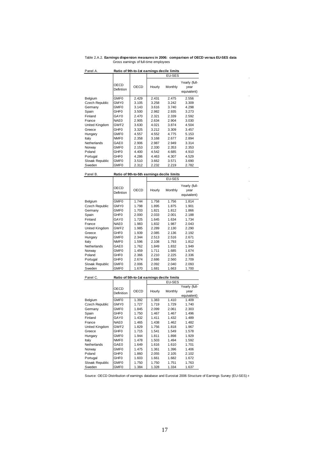Table 2.A.2. **Earnings dispersion measures in 2006: comparison of OECD versus EU-SES data** Gross earnings of full-time employees

 $\mathcal{A}^{\mathcal{A}}$ 

 $\sim 10^{11}$ 

 $\mathcal{L}_{\text{max}}$ 

 $\mathcal{L}^{\text{max}}_{\text{max}}$ 

 $\mathcal{L}^{\text{max}}_{\text{max}}$ 

 $\mathcal{L}_{\mathcal{A}}$ 

| Panel A.                                               | Ratio of 9th-to-1st earnings decile limits |       |               |         |                                      |  |  |  |  |
|--------------------------------------------------------|--------------------------------------------|-------|---------------|---------|--------------------------------------|--|--|--|--|
|                                                        |                                            |       | <b>EU-SES</b> |         |                                      |  |  |  |  |
|                                                        | OECD<br>Defintion                          | OECD  | Hourly        | Monthly | Yearly (full-<br>year<br>equivalent) |  |  |  |  |
| Belgium                                                | GMF0                                       | 2.429 | 2.431         | 2.475   | 2.556                                |  |  |  |  |
| Czech Republic                                         | GMY0                                       | 3.105 | 3.258         | 3.242   | 3.309                                |  |  |  |  |
| Germany                                                | GMF <sub>0</sub>                           | 3.143 | 3.616         | 3.740   | 4.298                                |  |  |  |  |
| Spain                                                  | GHF <sub>0</sub>                           | 3.500 | 2.982         | 2.935   | 3.273                                |  |  |  |  |
| Finland                                                | GAY0                                       | 2.470 | 2.321         | 2.339   | 2.592                                |  |  |  |  |
| France                                                 | NAE0                                       | 2.905 | 2.634         | 2.904   | 3.030                                |  |  |  |  |
| United Kingdom                                         | GWF2                                       | 3.630 | 4.021         | 3.874   | 4.504                                |  |  |  |  |
| Greece                                                 | GHF <sub>0</sub>                           | 3.325 | 3.212         | 3.309   | 3.457                                |  |  |  |  |
| Hungary                                                | GMF <sub>0</sub>                           | 4.557 | 4.552         | 4.775   | 5.153                                |  |  |  |  |
| Italy                                                  | NMF <sub>0</sub>                           | 2.358 | 3.168         | 2.677   | 2.894                                |  |  |  |  |
| Netherlands                                            | GAE0                                       | 2.906 | 2.987         | 2.949   | 3.314                                |  |  |  |  |
| Norway                                                 | GMF0                                       | 2.153 | 2.330         | 2.353   | 2.353                                |  |  |  |  |
| Poland                                                 | GHF <sub>0</sub>                           | 4.400 | 4.542         | 4.685   | 4.910                                |  |  |  |  |
| Portugal                                               | GHF <sub>0</sub>                           | 4.286 | 4.463         | 4.307   | 4.529                                |  |  |  |  |
| Slovak Republic                                        | GMF0                                       | 3.510 | 3.662         | 3.571   | 3.690                                |  |  |  |  |
| Sweden                                                 | GMF0                                       | 2.312 | 2.232         | 2.219   | 2.782                                |  |  |  |  |
| Ratio of 9th-to-5th earnings decile limits<br>Panel B. |                                            |       |               |         |                                      |  |  |  |  |

| Panel B.        | Ratio of 9th-to-5th earnings decile limits |       |        |         |                                      |  |  |  |
|-----------------|--------------------------------------------|-------|--------|---------|--------------------------------------|--|--|--|
|                 |                                            |       |        | EU-SES  |                                      |  |  |  |
|                 | OECD<br>Defintion                          | OECD  | Hourly | Monthly | Yearly (full-<br>year<br>equivalent) |  |  |  |
| Belgium         | GMF0                                       | 1.744 | 1.758  | 1.756   | 1.814                                |  |  |  |
| Czech Republic  | GMY0                                       | 1.798 | 1.895  | 1.875   | 1.901                                |  |  |  |
| Germany         | GMF0                                       | 1.703 | 1.821  | 1.812   | 1.866                                |  |  |  |
| Spain           | GHF0                                       | 2.000 | 2.033  | 2.001   | 2.188                                |  |  |  |
| Finland         | GAY0                                       | 1.725 | 1.645  | 1.634   | 1.734                                |  |  |  |
| France          | NAE0                                       | 1.983 | 1.832  | 1.987   | 2.043                                |  |  |  |
| United Kingdom  | GWF2                                       | 1.985 | 2.289  | 2.130   | 2.290                                |  |  |  |
| Greece          | GHF <sub>0</sub>                           | 1.939 | 2.085  | 2.136   | 2.192                                |  |  |  |
| Hungary         | GMF <sub>0</sub>                           | 2.344 | 2.513  | 2.516   | 2.671                                |  |  |  |
| Italy           | NMF <sub>0</sub>                           | 1.596 | 2.108  | 1.793   | 1.812                                |  |  |  |
| Netherlands     | GAE0                                       | 1.762 | 1.849  | 1.832   | 1.949                                |  |  |  |
| Norway          | GMF0                                       | 1.459 | 1.711  | 1.685   | 1.674                                |  |  |  |
| Poland          | GHF <sub>0</sub>                           | 2.366 | 2.210  | 2.225   | 2.336                                |  |  |  |
| Portugal        | GHF <sub>0</sub>                           | 2.674 | 2.686  | 2.560   | 2.709                                |  |  |  |
| Slovak Republic | GMF0                                       | 2.006 | 2.092  | 2.040   | 2.093                                |  |  |  |
| Sweden          | GMF0                                       | 1.670 | 1.681  | 1.663   | 1.700                                |  |  |  |

| Panel C.              | Ratio of 5th-to-1st earnings decile limits |       |        |               |               |  |  |
|-----------------------|--------------------------------------------|-------|--------|---------------|---------------|--|--|
|                       |                                            |       |        | <b>EU-SES</b> |               |  |  |
|                       | OECD                                       |       |        |               | Yearly (full- |  |  |
|                       | Definition                                 | OECD  | Hourly | Monthly       | year          |  |  |
|                       |                                            |       |        |               | equivalent)   |  |  |
| Belgium               | GMF0                                       | 1.392 | 1.383  | 1.410         | 1.409         |  |  |
| <b>Czech Republic</b> | GMY0                                       | 1.727 | 1.719  | 1.729         | 1.740         |  |  |
| Germany               | GMF0                                       | 1.845 | 2.099  | 2.061         | 2.303         |  |  |
| Spain                 | GHF <sub>0</sub>                           | 1.750 | 1.467  | 1.467         | 1.496         |  |  |
| Finland               | GAY <sub>0</sub>                           | 1.432 | 1.411  | 1.432         | 1.489         |  |  |
| France                | NAE0                                       | 1.465 | 1.438  | 1.462         | 1.482         |  |  |
| United Kingdom        | GWF <sub>2</sub>                           | 1.829 | 1.756  | 1.818         | 1.967         |  |  |
| Greece                | GHF <sub>0</sub>                           | 1.715 | 1.541  | 1.549         | 1.578         |  |  |
| Hungary               | GMF0                                       | 1.944 | 1.811  | 1.898         | 1.929         |  |  |
| Italy                 | NMF <sub>0</sub>                           | 1.478 | 1.503  | 1.494         | 1.592         |  |  |
| Netherlands           | GAE0                                       | 1.649 | 1.616  | 1.610         | 1.701         |  |  |
| Norway                | GMF0                                       | 1.475 | 1.361  | 1.396         | 1.406         |  |  |
| Poland                | GHF <sub>0</sub>                           | 1.860 | 2.055  | 2.105         | 2.102         |  |  |
| Portugal              | GHF <sub>0</sub>                           | 1.603 | 1.661  | 1.682         | 1.672         |  |  |
| Slovak Republic       | GMF <sub>0</sub>                           | 1.750 | 1.750  | 1.751         | 1.763         |  |  |
| Sweden                | GMF <sub>0</sub>                           | 1.384 | 1.328  | 1.334         | 1.637         |  |  |

Source: OECD Distribution of earnings database and Eurostat 2006 Structure of Earnings Survey (EU-SES) r